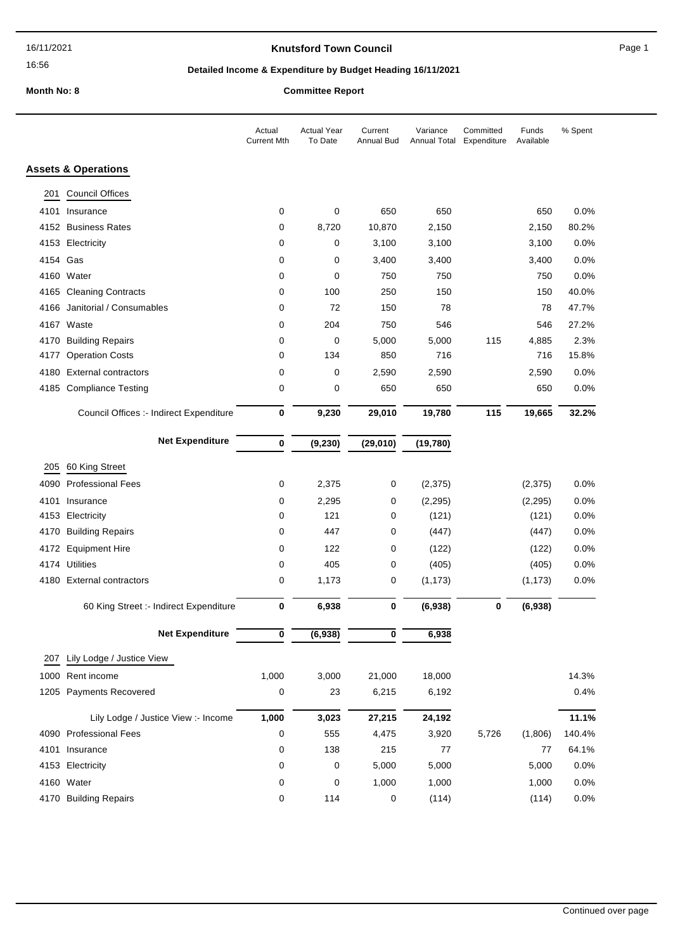### 16:56

### **Knutsford Town Council Example 20 Apr 20 Apr 20 Apr 20 Apr 20 Apr 20 Apr 20 Apr 20 Apr 20 Apr 20 Apr 20 Apr 20 Apr 20 Apr 20 Apr 20 Apr 20 Apr 20 Apr 20 Apr 20 Apr 20 Apr 20 Apr 20 Apr 20 Apr 20 Apr 20 Apr 20 Apr 20 Apr**

# **Detailed Income & Expenditure by Budget Heading 16/11/2021**

**Month No: 8 Committee Report**

|          |                                         | Actual<br><b>Current Mth</b> | <b>Actual Year</b><br>To Date | Current<br>Annual Bud | Variance<br>Annual Total | Committed<br>Expenditure | Funds<br>Available | % Spent |
|----------|-----------------------------------------|------------------------------|-------------------------------|-----------------------|--------------------------|--------------------------|--------------------|---------|
|          | <b>Assets &amp; Operations</b>          |                              |                               |                       |                          |                          |                    |         |
| 201      | <b>Council Offices</b>                  |                              |                               |                       |                          |                          |                    |         |
| 4101     | Insurance                               | 0                            | 0                             | 650                   | 650                      |                          | 650                | 0.0%    |
|          | 4152 Business Rates                     | 0                            | 8,720                         | 10,870                | 2,150                    |                          | 2,150              | 80.2%   |
|          | 4153 Electricity                        | 0                            | 0                             | 3,100                 | 3,100                    |                          | 3,100              | 0.0%    |
| 4154 Gas |                                         | 0                            | 0                             | 3,400                 | 3,400                    |                          | 3,400              | 0.0%    |
|          | 4160 Water                              | 0                            | $\mathbf 0$                   | 750                   | 750                      |                          | 750                | 0.0%    |
|          | 4165 Cleaning Contracts                 | 0                            | 100                           | 250                   | 150                      |                          | 150                | 40.0%   |
| 4166     | Janitorial / Consumables                | 0                            | 72                            | 150                   | 78                       |                          | 78                 | 47.7%   |
| 4167     | Waste                                   | 0                            | 204                           | 750                   | 546                      |                          | 546                | 27.2%   |
| 4170     | <b>Building Repairs</b>                 | 0                            | 0                             | 5,000                 | 5,000                    | 115                      | 4,885              | 2.3%    |
| 4177     | <b>Operation Costs</b>                  | 0                            | 134                           | 850                   | 716                      |                          | 716                | 15.8%   |
| 4180     | <b>External contractors</b>             | 0                            | 0                             | 2,590                 | 2,590                    |                          | 2,590              | 0.0%    |
|          | 4185 Compliance Testing                 | 0                            | 0                             | 650                   | 650                      |                          | 650                | 0.0%    |
|          | Council Offices :- Indirect Expenditure | 0                            | 9,230                         | 29,010                | 19,780                   | 115                      | 19,665             | 32.2%   |
|          | <b>Net Expenditure</b>                  | 0                            | (9, 230)                      | (29,010)              | (19, 780)                |                          |                    |         |
| 205      | 60 King Street                          |                              |                               |                       |                          |                          |                    |         |
| 4090     | <b>Professional Fees</b>                | 0                            | 2,375                         | 0                     | (2,375)                  |                          | (2,375)            | 0.0%    |
| 4101     | Insurance                               | 0                            | 2,295                         | 0                     | (2, 295)                 |                          | (2, 295)           | 0.0%    |
|          | 4153 Electricity                        | 0                            | 121                           | 0                     | (121)                    |                          | (121)              | 0.0%    |
|          | 4170 Building Repairs                   | 0                            | 447                           | 0                     | (447)                    |                          | (447)              | 0.0%    |
|          | 4172 Equipment Hire                     | 0                            | 122                           | 0                     | (122)                    |                          | (122)              | 0.0%    |
|          | 4174 Utilities                          | 0                            | 405                           | 0                     | (405)                    |                          | (405)              | 0.0%    |
|          | 4180 External contractors               | 0                            | 1,173                         | 0                     | (1, 173)                 |                          | (1, 173)           | 0.0%    |
|          |                                         |                              |                               |                       |                          |                          |                    |         |
|          | 60 King Street :- Indirect Expenditure  | 0                            | 6,938                         | 0                     | (6,938)                  | 0                        | (6,938)            |         |
|          | <b>Net Expenditure</b>                  | 0                            | (6,938)                       | 0                     | 6,938                    |                          |                    |         |
| 207      | Lily Lodge / Justice View               |                              |                               |                       |                          |                          |                    |         |
| 1000     | Rent income                             | 1,000                        | 3,000                         | 21,000                | 18,000                   |                          |                    | 14.3%   |
|          | 1205 Payments Recovered                 | 0                            | 23                            | 6,215                 | 6,192                    |                          |                    | 0.4%    |
|          |                                         |                              |                               |                       |                          |                          |                    |         |
|          | Lily Lodge / Justice View :- Income     | 1,000                        | 3,023                         | 27,215                | 24,192                   |                          |                    | 11.1%   |
|          | 4090 Professional Fees                  | 0                            | 555                           | 4,475                 | 3,920                    | 5,726                    | (1,806)            | 140.4%  |
| 4101     | Insurance                               | 0                            | 138                           | 215                   | 77                       |                          | 77                 | 64.1%   |
|          | 4153 Electricity                        | 0                            | 0                             | 5,000                 | 5,000                    |                          | 5,000              | 0.0%    |
|          | 4160 Water                              | 0                            | 0                             | 1,000                 | 1,000                    |                          | 1,000              | 0.0%    |
|          | 4170 Building Repairs                   | 0                            | 114                           | 0                     | (114)                    |                          | (114)              | 0.0%    |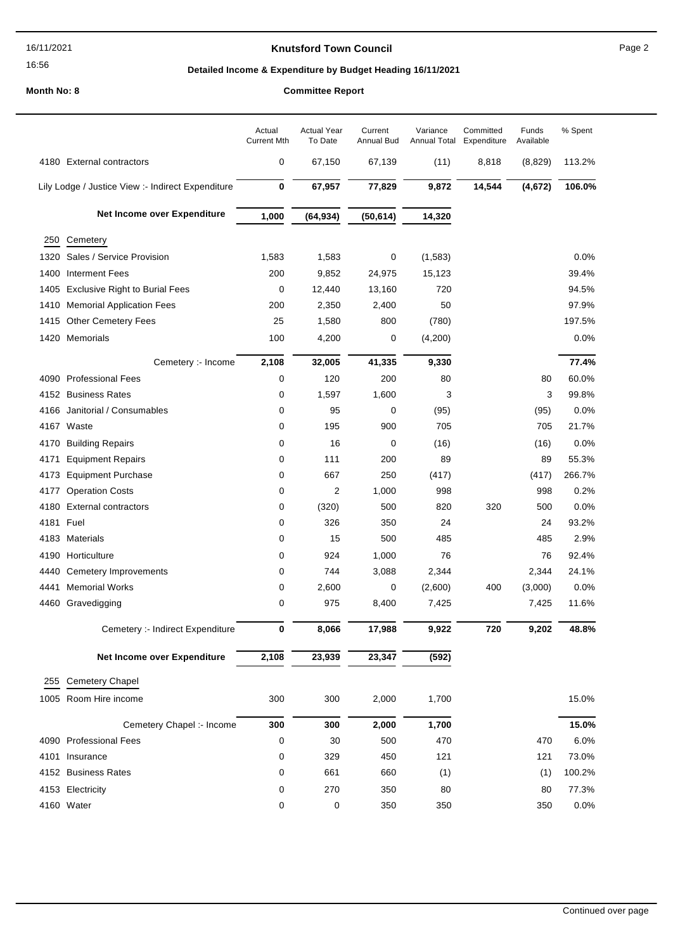### **Knutsford Town Council Connect Council** Page 2

16:56

### **Detailed Income & Expenditure by Budget Heading 16/11/2021**

Actual Year To Date

Actual Current Mth Current

Annual Bud Annual Total Expenditure Variance

Committed

Funds Available % Spent

**Month No: 8 Committee Report**

|                                                   | 4180 External contractors           | 0     | 67,150    | 67,139    | (11)    | 8,818  | (8,829) | 113.2% |
|---------------------------------------------------|-------------------------------------|-------|-----------|-----------|---------|--------|---------|--------|
| Lily Lodge / Justice View :- Indirect Expenditure |                                     | 0     | 67,957    | 77,829    | 9,872   | 14,544 | (4,672) | 106.0% |
|                                                   | Net Income over Expenditure         | 1,000 | (64, 934) | (50, 614) | 14,320  |        |         |        |
| 250                                               | Cemetery                            |       |           |           |         |        |         |        |
| 1320                                              | Sales / Service Provision           | 1,583 | 1,583     | 0         | (1,583) |        |         | 0.0%   |
| 1400                                              | <b>Interment Fees</b>               | 200   | 9,852     | 24,975    | 15,123  |        |         | 39.4%  |
|                                                   | 1405 Exclusive Right to Burial Fees | 0     | 12,440    | 13,160    | 720     |        |         | 94.5%  |
|                                                   | 1410 Memorial Application Fees      | 200   | 2,350     | 2,400     | 50      |        |         | 97.9%  |
|                                                   | 1415 Other Cemetery Fees            | 25    | 1,580     | 800       | (780)   |        |         | 197.5% |
|                                                   | 1420 Memorials                      | 100   | 4,200     | 0         | (4,200) |        |         | 0.0%   |
|                                                   | Cemetery :- Income                  | 2,108 | 32,005    | 41,335    | 9,330   |        |         | 77.4%  |
|                                                   | 4090 Professional Fees              | 0     | 120       | 200       | 80      |        | 80      | 60.0%  |
|                                                   | 4152 Business Rates                 | 0     | 1,597     | 1,600     | 3       |        | 3       | 99.8%  |
|                                                   | 4166 Janitorial / Consumables       | 0     | 95        | 0         | (95)    |        | (95)    | 0.0%   |
|                                                   | 4167 Waste                          | 0     | 195       | 900       | 705     |        | 705     | 21.7%  |
| 4170                                              | <b>Building Repairs</b>             | 0     | 16        | 0         | (16)    |        | (16)    | 0.0%   |
| 4171                                              | <b>Equipment Repairs</b>            | 0     | 111       | 200       | 89      |        | 89      | 55.3%  |
| 4173                                              | <b>Equipment Purchase</b>           | 0     | 667       | 250       | (417)   |        | (417)   | 266.7% |
| 4177                                              | <b>Operation Costs</b>              | 0     | 2         | 1,000     | 998     |        | 998     | 0.2%   |
|                                                   | 4180 External contractors           | 0     | (320)     | 500       | 820     | 320    | 500     | 0.0%   |
| 4181 Fuel                                         |                                     | 0     | 326       | 350       | 24      |        | 24      | 93.2%  |
|                                                   | 4183 Materials                      | 0     | 15        | 500       | 485     |        | 485     | 2.9%   |
| 4190                                              | Horticulture                        | 0     | 924       | 1,000     | 76      |        | 76      | 92.4%  |
| 4440                                              | <b>Cemetery Improvements</b>        | 0     | 744       | 3,088     | 2,344   |        | 2,344   | 24.1%  |
| 4441                                              | <b>Memorial Works</b>               | 0     | 2,600     | 0         | (2,600) | 400    | (3,000) | 0.0%   |
|                                                   | 4460 Gravedigging                   | 0     | 975       | 8,400     | 7,425   |        | 7,425   | 11.6%  |
|                                                   | Cemetery :- Indirect Expenditure    | 0     | 8,066     | 17,988    | 9,922   | 720    | 9,202   | 48.8%  |
|                                                   | Net Income over Expenditure         | 2,108 | 23.939    | 23,347    | (592)   |        |         |        |
| 255                                               | <b>Cemetery Chapel</b>              |       |           |           |         |        |         |        |
|                                                   | 1005 Room Hire income               | 300   | 300       | 2,000     | 1,700   |        |         | 15.0%  |
|                                                   | Cemetery Chapel :- Income           | 300   | 300       | 2,000     | 1,700   |        |         | 15.0%  |
|                                                   | 4090 Professional Fees              | 0     | 30        | 500       | 470     |        | 470     | 6.0%   |
|                                                   | 4101 Insurance                      | 0     | 329       | 450       | 121     |        | 121     | 73.0%  |

4152 Business Rates 0 661 660 (1) (1) 100.2% 4153 Electricity 0 270 350 80 80 77.3% 4160 Water 0 0 350 350 350 0.0%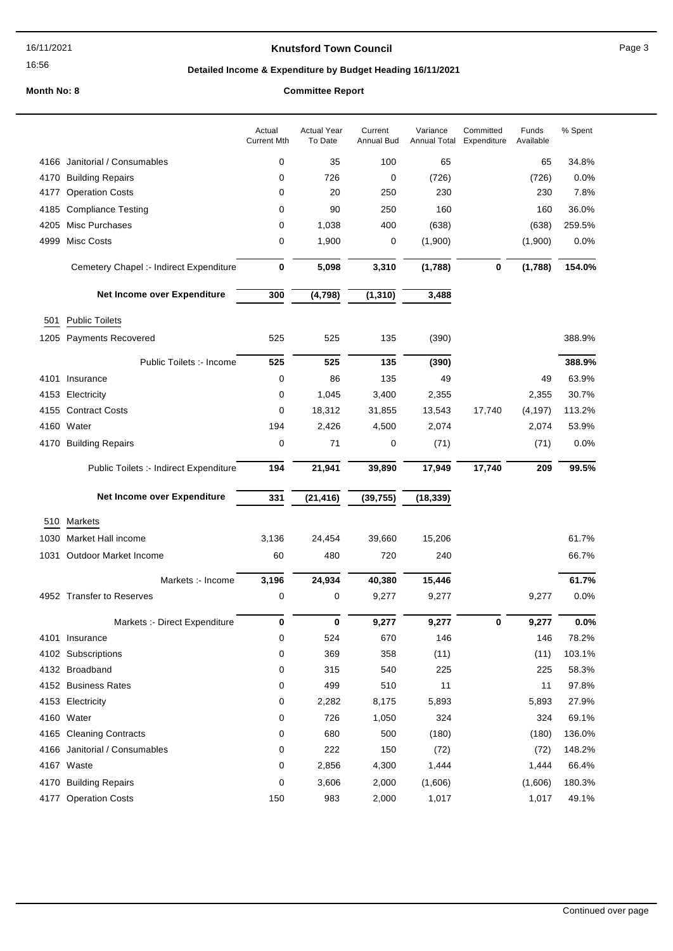16:56

### **Knutsford Town Council Analysis Council** Page 3

#### **Detailed Income & Expenditure by Budget Heading 16/11/2021**

**Month No: 8 Committee Report**

## Actual Year To Date Current Annual Bud Variance Annual Total **Committed** Expenditure Funds Available Actual Current Mth % Spent 4166 Janitorial / Consumables 0 35 100 65 65 34.8% 4170 Building Repairs 0 726 0 (726) (726) 0.0% 4177 Operation Costs 0 20 250 230 230 7.8% 4185 Compliance Testing 0 90 250 160 160 36.0% 4205 Misc Purchases 0 1,038 400 (638) (638) 259.5% 4999 Misc Costs 0 1,900 0 (1,900) (1,900) 0.0% Cemetery Chapel :- Indirect Expenditure **0 5,098 3,310 (1,788) 0 (1,788) 154.0% Net Income over Expenditure 300 (4,798) (1,310) 3,488** 501 Public Toilets 1205 Payments Recovered **1205 Payments Recovered** 6525 525 525 525 525 525 438.9% Public Toilets :- Income **525 525 135 (390) 388.9%** 4101 Insurance 0 86 135 49 49 63.9% 4153 Electricity 0 1,045 3,400 2,355 2,355 30.7% 4155 Contract Costs 0 18,312 31,855 13,543 17,740 (4,197) 113.2% 4160 Water 194 2,426 4,500 2,074 2,074 53.9% 4170 Building Repairs 0 71 0 (71) (71) 0.0% Public Toilets :- Indirect Expenditure **194 21,941 39,890 17,949 17,740 209 99.5% Net Income over Expenditure 331 (21,416) (39,755) (18,339)** 510 Markets 1030 Market Hall income 11 1030 1136 24,454 39,660 15,206 15,206 61.7% 1031 Outdoor Market Income 60 480 720 240 66.7% Markets :- Income **3,196 24,934 40,380 15,446 61.7%** 4952 Transfer to Reserves 0 0 9,277 9,277 9,277 0.0% Markets :- Direct Expenditure **0 0 9,277 9,277 0 9,277 0.0%** 4101 Insurance 0 524 670 146 146 78.2% 4102 Subscriptions 0 369 358 (11) (11) 103.1% 4132 Broadband 0 315 540 225 225 58.3% 4152 Business Rates 0 499 510 11 11 97.8% 4153 Electricity 0 2,282 8,175 5,893 5,893 27.9% 4160 Water 0 726 1,050 324 324 69.1% 4165 Cleaning Contracts 0 680 500 (180) (180) 136.0% 4166 Janitorial / Consumables 0 222 150 (72) (72) 148.2% 4167 Waste 0 2,856 4,300 1,444 1,444 66.4% 4170 Building Repairs 0 3,606 2,000 (1,606) (1,606) 180.3%

4177 Operation Costs 150 983 2,000 1,017 1,017 49.1%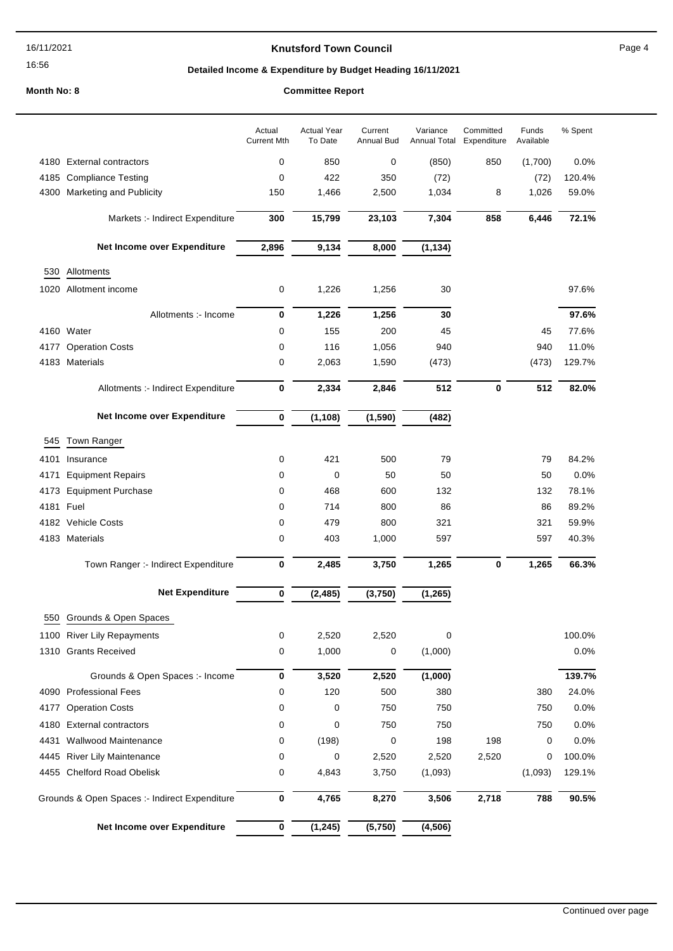### **Knutsford Town Council Council Page 4**

16:56

#### **Detailed Income & Expenditure by Budget Heading 16/11/2021**

**Month No: 8 Committee Report**

# Actual Year To Date Current Annual Bud Variance Annual Total **Committed** Expenditure Funds Available Actual Current Mth % Spent 4180 External contractors 0 850 0 (850) 850 (1,700) 0.0% 4185 Compliance Testing 0 422 350 (72) (72) 120.4% 4300 Marketing and Publicity 150 1,466 2,500 1,034 8 1,026 59.0% Markets :- Indirect Expenditure **300 15,799 23,103 7,304 858 6,446 72.1% Net Income over Expenditure 2,896 9,134 8,000 (1,134)** 530 Allotments 1020 Allotment income 0 1,226 1,256 30 97.6% Allotments :- Income **0 1,226 1,256 30 97.6%** 4160 Water 0 155 200 45 45 77.6% 4177 Operation Costs 0 116 1,056 940 940 11.0% 4183 Materials 0 2,063 1,590 (473) (473) 129.7% Allotments :- Indirect Expenditure **0 2,334 2,846 512 0 512 82.0% Net Income over Expenditure 0 (1,108) (1,590) (482)** 545 Town Ranger 4101 Insurance 0 421 500 79 79 84.2% 4171 Equipment Repairs 0 0 50 50 50 0.0% 4173 Equipment Purchase 0 468 600 132 132 78.1% 4181 Fuel 0 714 800 86 86 89.2% 4182 Vehicle Costs 0 479 800 321 321 59.9% 4183 Materials 0 403 1,000 597 597 40.3% Town Ranger :- Indirect Expenditure **0 2,485 3,750 1,265 0 1,265 66.3% Net Expenditure 0 (2,485) (3,750) (1,265)** 550 Grounds & Open Spaces 1100 River Lily Repayments 0 2,520 2,520 0 100.0% 1310 Grants Received **0** 1,000 0 (1,000) 0.0% 0.0% Grounds & Open Spaces :- Income **0 3,520 2,520 (1,000) 139.7%** 4090 Professional Fees 0 120 500 380 380 24.0% 4177 Operation Costs 0 0 750 750 750 0.0% 4180 External contractors 0 0 750 750 750 0.0% 4431 Wallwood Maintenance 0 (198) 0 198 198 0 0.0% 4445 River Lily Maintenance 0 0 2,520 2,520 2,520 0 100.0% 4455 Chelford Road Obelisk 0 4,843 3,750 (1,093) (1,093) 129.1% Grounds & Open Spaces :- Indirect Expenditure **0 4,765 8,270 3,506 2,718 788 90.5% Net Income over Expenditure 0 (1,245) (5,750) (4,506)**